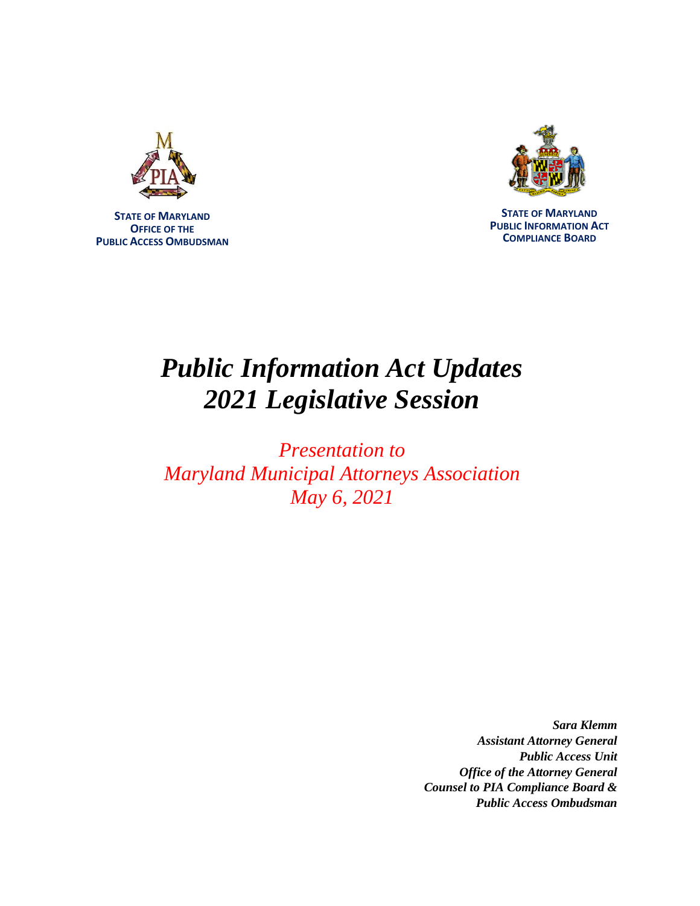

**STATE OF MARYLAND OFFICE OF THE PUBLIC ACCESS OMBUDSMAN**



**STATE OF MARYLAND PUBLIC INFORMATION ACT COMPLIANCE BOARD**

# *Public Information Act Updates 2021 Legislative Session*

*Presentation to Maryland Municipal Attorneys Association May 6, 2021*

> *Sara Klemm Assistant Attorney General Public Access Unit Office of the Attorney General Counsel to PIA Compliance Board & Public Access Ombudsman*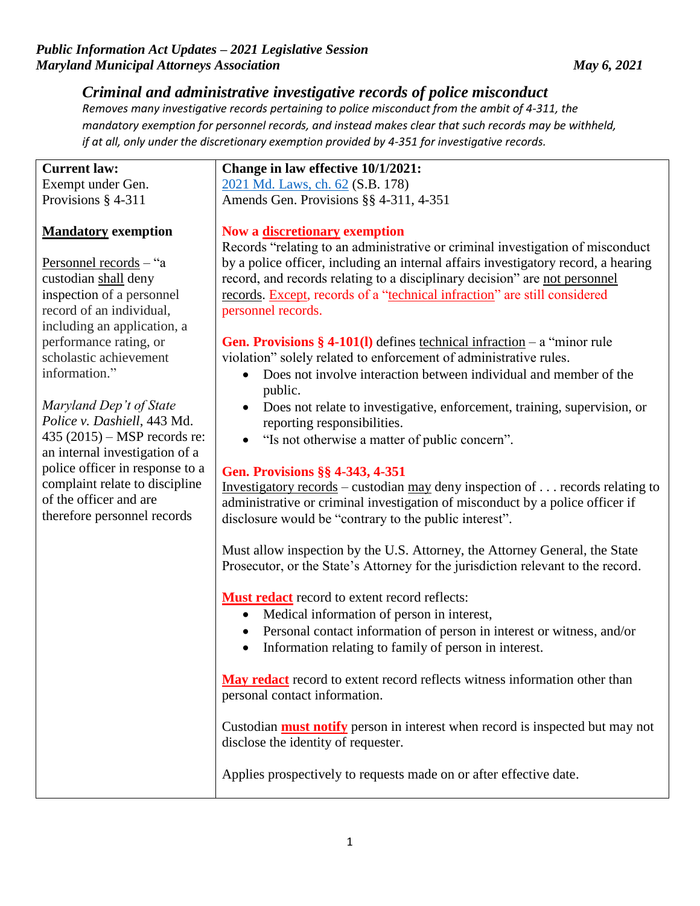# *Criminal and administrative investigative records of police misconduct*

*Removes many investigative records pertaining to police misconduct from the ambit of 4-311, the mandatory exemption for personnel records, and instead makes clear that such records may be withheld, if at all, only under the discretionary exemption provided by 4-351 for investigative records.*

## **Current law:** Exempt under Gen.

Provisions § 4-311

# **Mandatory exemption**

Personnel records – "a custodian shall deny inspection of a personnel record of an individual, including an application, a performance rating, or scholastic achievement information."

*Maryland Dep't of State Police v. Dashiell*, 443 Md. 435 (2015) – MSP records re: an internal investigation of a police officer in response to a complaint relate to discipline of the officer and are therefore personnel records

#### **Change in law effective 10/1/2021:** [2021 Md. Laws, ch. 62](http://mgaleg.maryland.gov/2021RS/Chapters_noln/CH_62_sb0178e.pdf) (S.B. 178) Amends Gen. Provisions §§ 4-311, 4-351

### **Now a discretionary exemption**

Records "relating to an administrative or criminal investigation of misconduct by a police officer, including an internal affairs investigatory record, a hearing record, and records relating to a disciplinary decision" are not personnel records. Except, records of a "technical infraction" are still considered personnel records.

**Gen. Provisions § 4-101(l)** defines technical infraction – a "minor rule violation" solely related to enforcement of administrative rules.

- Does not involve interaction between individual and member of the public.
- Does not relate to investigative, enforcement, training, supervision, or reporting responsibilities.
- "Is not otherwise a matter of public concern".

### **Gen. Provisions §§ 4-343, 4-351**

Investigatory records – custodian may deny inspection of . . . records relating to administrative or criminal investigation of misconduct by a police officer if disclosure would be "contrary to the public interest".

Must allow inspection by the U.S. Attorney, the Attorney General, the State Prosecutor, or the State's Attorney for the jurisdiction relevant to the record.

**Must redact** record to extent record reflects:

- Medical information of person in interest,
- Personal contact information of person in interest or witness, and/or
- Information relating to family of person in interest.

**May redact** record to extent record reflects witness information other than personal contact information.

Custodian **must notify** person in interest when record is inspected but may not disclose the identity of requester.

Applies prospectively to requests made on or after effective date.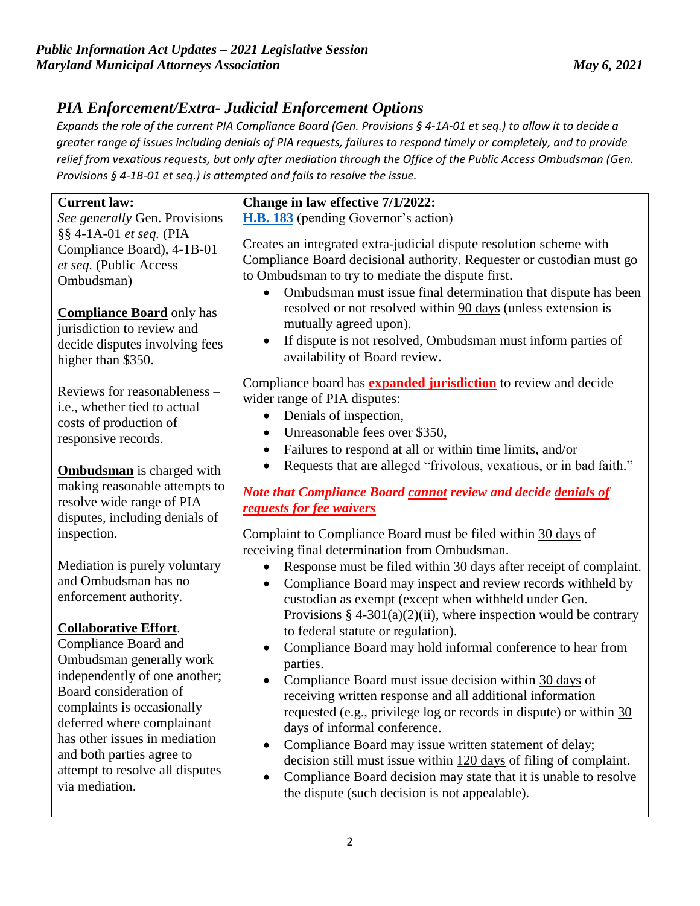# *PIA Enforcement/Extra- Judicial Enforcement Options*

*Expands the role of the current PIA Compliance Board (Gen. Provisions § 4-1A-01 et seq.) to allow it to decide a greater range of issues including denials of PIA requests, failures to respond timely or completely, and to provide relief from vexatious requests, but only after mediation through the Office of the Public Access Ombudsman (Gen. Provisions § 4-1B-01 et seq.) is attempted and fails to resolve the issue.*

| <b>Current law:</b>              | Change in law effective 7/1/2022:                                                                                                                                                                                                                                                                                                                                                                                                                                                                                                                                                                                                                                                                                                                                                                                                                                                                                                                                                                                                                                                                                                                                                                                         |
|----------------------------------|---------------------------------------------------------------------------------------------------------------------------------------------------------------------------------------------------------------------------------------------------------------------------------------------------------------------------------------------------------------------------------------------------------------------------------------------------------------------------------------------------------------------------------------------------------------------------------------------------------------------------------------------------------------------------------------------------------------------------------------------------------------------------------------------------------------------------------------------------------------------------------------------------------------------------------------------------------------------------------------------------------------------------------------------------------------------------------------------------------------------------------------------------------------------------------------------------------------------------|
| See generally Gen. Provisions    | <b>H.B. 183</b> (pending Governor's action)                                                                                                                                                                                                                                                                                                                                                                                                                                                                                                                                                                                                                                                                                                                                                                                                                                                                                                                                                                                                                                                                                                                                                                               |
| §§ 4-1A-01 et seq. (PIA          |                                                                                                                                                                                                                                                                                                                                                                                                                                                                                                                                                                                                                                                                                                                                                                                                                                                                                                                                                                                                                                                                                                                                                                                                                           |
| Compliance Board), 4-1B-01       | Creates an integrated extra-judicial dispute resolution scheme with<br>Compliance Board decisional authority. Requester or custodian must go                                                                                                                                                                                                                                                                                                                                                                                                                                                                                                                                                                                                                                                                                                                                                                                                                                                                                                                                                                                                                                                                              |
| et seq. (Public Access           |                                                                                                                                                                                                                                                                                                                                                                                                                                                                                                                                                                                                                                                                                                                                                                                                                                                                                                                                                                                                                                                                                                                                                                                                                           |
| Ombudsman)                       | to Ombudsman to try to mediate the dispute first.                                                                                                                                                                                                                                                                                                                                                                                                                                                                                                                                                                                                                                                                                                                                                                                                                                                                                                                                                                                                                                                                                                                                                                         |
|                                  | Ombudsman must issue final determination that dispute has been                                                                                                                                                                                                                                                                                                                                                                                                                                                                                                                                                                                                                                                                                                                                                                                                                                                                                                                                                                                                                                                                                                                                                            |
| <b>Compliance Board</b> only has | resolved or not resolved within 90 days (unless extension is                                                                                                                                                                                                                                                                                                                                                                                                                                                                                                                                                                                                                                                                                                                                                                                                                                                                                                                                                                                                                                                                                                                                                              |
| jurisdiction to review and       | mutually agreed upon).                                                                                                                                                                                                                                                                                                                                                                                                                                                                                                                                                                                                                                                                                                                                                                                                                                                                                                                                                                                                                                                                                                                                                                                                    |
| decide disputes involving fees   | If dispute is not resolved, Ombudsman must inform parties of                                                                                                                                                                                                                                                                                                                                                                                                                                                                                                                                                                                                                                                                                                                                                                                                                                                                                                                                                                                                                                                                                                                                                              |
| higher than \$350.               | availability of Board review.                                                                                                                                                                                                                                                                                                                                                                                                                                                                                                                                                                                                                                                                                                                                                                                                                                                                                                                                                                                                                                                                                                                                                                                             |
|                                  | Compliance board has <b>expanded jurisdiction</b> to review and decide                                                                                                                                                                                                                                                                                                                                                                                                                                                                                                                                                                                                                                                                                                                                                                                                                                                                                                                                                                                                                                                                                                                                                    |
| Reviews for reasonableness –     | wider range of PIA disputes:                                                                                                                                                                                                                                                                                                                                                                                                                                                                                                                                                                                                                                                                                                                                                                                                                                                                                                                                                                                                                                                                                                                                                                                              |
| i.e., whether tied to actual     |                                                                                                                                                                                                                                                                                                                                                                                                                                                                                                                                                                                                                                                                                                                                                                                                                                                                                                                                                                                                                                                                                                                                                                                                                           |
| costs of production of           | Denials of inspection,<br>$\bullet$                                                                                                                                                                                                                                                                                                                                                                                                                                                                                                                                                                                                                                                                                                                                                                                                                                                                                                                                                                                                                                                                                                                                                                                       |
| responsive records.              |                                                                                                                                                                                                                                                                                                                                                                                                                                                                                                                                                                                                                                                                                                                                                                                                                                                                                                                                                                                                                                                                                                                                                                                                                           |
|                                  |                                                                                                                                                                                                                                                                                                                                                                                                                                                                                                                                                                                                                                                                                                                                                                                                                                                                                                                                                                                                                                                                                                                                                                                                                           |
| <b>Ombudsman</b> is charged with |                                                                                                                                                                                                                                                                                                                                                                                                                                                                                                                                                                                                                                                                                                                                                                                                                                                                                                                                                                                                                                                                                                                                                                                                                           |
| making reasonable attempts to    |                                                                                                                                                                                                                                                                                                                                                                                                                                                                                                                                                                                                                                                                                                                                                                                                                                                                                                                                                                                                                                                                                                                                                                                                                           |
| resolve wide range of PIA        |                                                                                                                                                                                                                                                                                                                                                                                                                                                                                                                                                                                                                                                                                                                                                                                                                                                                                                                                                                                                                                                                                                                                                                                                                           |
|                                  |                                                                                                                                                                                                                                                                                                                                                                                                                                                                                                                                                                                                                                                                                                                                                                                                                                                                                                                                                                                                                                                                                                                                                                                                                           |
| inspection.                      |                                                                                                                                                                                                                                                                                                                                                                                                                                                                                                                                                                                                                                                                                                                                                                                                                                                                                                                                                                                                                                                                                                                                                                                                                           |
|                                  |                                                                                                                                                                                                                                                                                                                                                                                                                                                                                                                                                                                                                                                                                                                                                                                                                                                                                                                                                                                                                                                                                                                                                                                                                           |
| Mediation is purely voluntary    |                                                                                                                                                                                                                                                                                                                                                                                                                                                                                                                                                                                                                                                                                                                                                                                                                                                                                                                                                                                                                                                                                                                                                                                                                           |
| and Ombudsman has no             | $\bullet$                                                                                                                                                                                                                                                                                                                                                                                                                                                                                                                                                                                                                                                                                                                                                                                                                                                                                                                                                                                                                                                                                                                                                                                                                 |
| enforcement authority.           |                                                                                                                                                                                                                                                                                                                                                                                                                                                                                                                                                                                                                                                                                                                                                                                                                                                                                                                                                                                                                                                                                                                                                                                                                           |
|                                  |                                                                                                                                                                                                                                                                                                                                                                                                                                                                                                                                                                                                                                                                                                                                                                                                                                                                                                                                                                                                                                                                                                                                                                                                                           |
| <b>Collaborative Effort.</b>     |                                                                                                                                                                                                                                                                                                                                                                                                                                                                                                                                                                                                                                                                                                                                                                                                                                                                                                                                                                                                                                                                                                                                                                                                                           |
| Compliance Board and             | $\bullet$                                                                                                                                                                                                                                                                                                                                                                                                                                                                                                                                                                                                                                                                                                                                                                                                                                                                                                                                                                                                                                                                                                                                                                                                                 |
| Ombudsman generally work         |                                                                                                                                                                                                                                                                                                                                                                                                                                                                                                                                                                                                                                                                                                                                                                                                                                                                                                                                                                                                                                                                                                                                                                                                                           |
| independently of one another;    |                                                                                                                                                                                                                                                                                                                                                                                                                                                                                                                                                                                                                                                                                                                                                                                                                                                                                                                                                                                                                                                                                                                                                                                                                           |
| Board consideration of           |                                                                                                                                                                                                                                                                                                                                                                                                                                                                                                                                                                                                                                                                                                                                                                                                                                                                                                                                                                                                                                                                                                                                                                                                                           |
| complaints is occasionally       |                                                                                                                                                                                                                                                                                                                                                                                                                                                                                                                                                                                                                                                                                                                                                                                                                                                                                                                                                                                                                                                                                                                                                                                                                           |
| deferred where complainant       |                                                                                                                                                                                                                                                                                                                                                                                                                                                                                                                                                                                                                                                                                                                                                                                                                                                                                                                                                                                                                                                                                                                                                                                                                           |
| has other issues in mediation    |                                                                                                                                                                                                                                                                                                                                                                                                                                                                                                                                                                                                                                                                                                                                                                                                                                                                                                                                                                                                                                                                                                                                                                                                                           |
| and both parties agree to        |                                                                                                                                                                                                                                                                                                                                                                                                                                                                                                                                                                                                                                                                                                                                                                                                                                                                                                                                                                                                                                                                                                                                                                                                                           |
| attempt to resolve all disputes  |                                                                                                                                                                                                                                                                                                                                                                                                                                                                                                                                                                                                                                                                                                                                                                                                                                                                                                                                                                                                                                                                                                                                                                                                                           |
| via mediation.                   | the dispute (such decision is not appealable).                                                                                                                                                                                                                                                                                                                                                                                                                                                                                                                                                                                                                                                                                                                                                                                                                                                                                                                                                                                                                                                                                                                                                                            |
| disputes, including denials of   | Unreasonable fees over \$350,<br>٠<br>Failures to respond at all or within time limits, and/or<br>$\bullet$<br>Requests that are alleged "frivolous, vexatious, or in bad faith."<br>Note that Compliance Board cannot review and decide denials of<br>requests for fee waivers<br>Complaint to Compliance Board must be filed within 30 days of<br>receiving final determination from Ombudsman.<br>Response must be filed within 30 days after receipt of complaint.<br>Compliance Board may inspect and review records withheld by<br>custodian as exempt (except when withheld under Gen.<br>Provisions $\S$ 4-301(a)(2)(ii), where inspection would be contrary<br>to federal statute or regulation).<br>Compliance Board may hold informal conference to hear from<br>parties.<br>Compliance Board must issue decision within 30 days of<br>receiving written response and all additional information<br>requested (e.g., privilege log or records in dispute) or within 30<br>days of informal conference.<br>Compliance Board may issue written statement of delay;<br>٠<br>decision still must issue within 120 days of filing of complaint.<br>Compliance Board decision may state that it is unable to resolve |